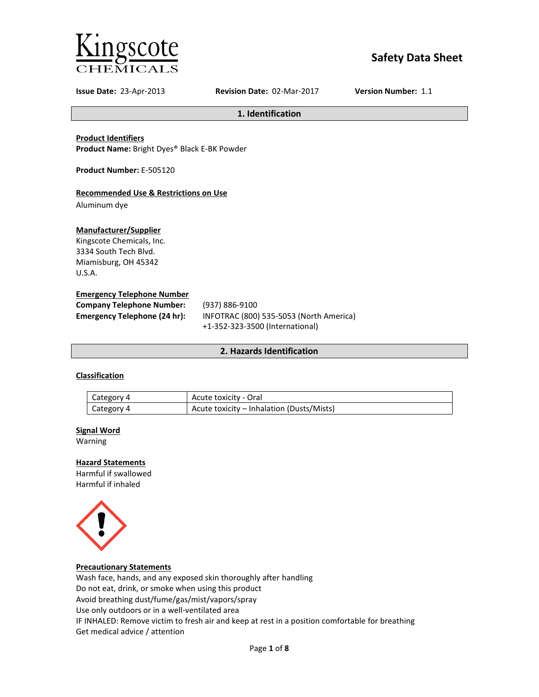

# **Safety Data Sheet**

**Issue Date:** 23-Apr-2013 **Revision Date:** 02-Mar-2017 **Version Number:** 1.1

**1. Identification**

**Product Identifiers**

**Product Name:** Bright Dyes® Black E-BK Powder

**Product Number:** E-505120

### **Recommended Use & Restrictions on Use**

Aluminum dye

### **Manufacturer/Supplier**

Kingscote Chemicals, Inc. 3334 South Tech Blvd. Miamisburg, OH 45342 U.S.A.

### **Emergency Telephone Number**

| <b>Company Telephone Number:</b> | (937) 886-9100                          |
|----------------------------------|-----------------------------------------|
| Emergency Telephone (24 hr):     | INFOTRAC (800) 535-5053 (North America) |
|                                  | +1-352-323-3500 (International)         |

### **2. Hazards Identification**

### **Classification**

| Category 4 | Acute toxicity - Oral                     |
|------------|-------------------------------------------|
| Category 4 | Acute toxicity – Inhalation (Dusts/Mists) |

#### **Signal Word**

Warning

### **Hazard Statements**

Harmful if swallowed Harmful if inhaled



### **Precautionary Statements**

Wash face, hands, and any exposed skin thoroughly after handling Do not eat, drink, or smoke when using this product Avoid breathing dust/fume/gas/mist/vapors/spray Use only outdoors or in a well-ventilated area IF INHALED: Remove victim to fresh air and keep at rest in a position comfortable for breathing Get medical advice / attention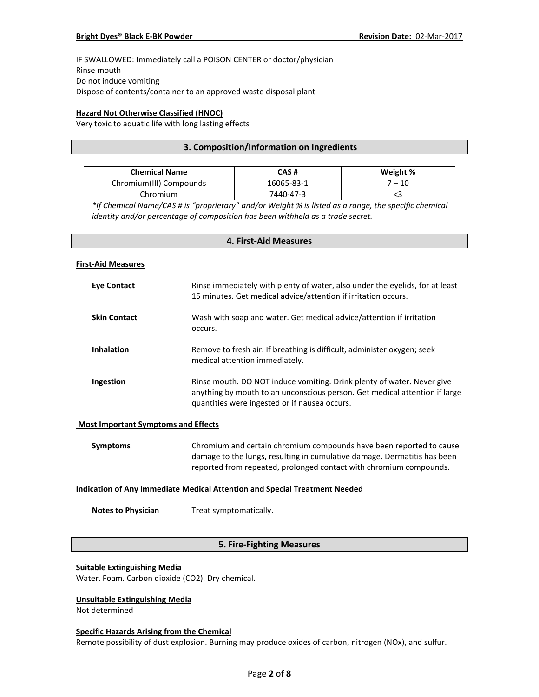IF SWALLOWED: Immediately call a POISON CENTER or doctor/physician Rinse mouth Do not induce vomiting Dispose of contents/container to an approved waste disposal plant

### **Hazard Not Otherwise Classified (HNOC)**

Very toxic to aquatic life with long lasting effects

### **3. Composition/Information on Ingredients**

| <b>Chemical Name</b>    | CAS #      | Weight % |
|-------------------------|------------|----------|
| Chromium(III) Compounds | 16065-83-1 | 7 – 10   |
| Chromium                | 7440-47-3  |          |

*\*If Chemical Name/CAS # is "proprietary" and/or Weight % is listed as a range, the specific chemical identity and/or percentage of composition has been withheld as a trade secret.*

# **4. First-Aid Measures**

#### **First-Aid Measures**

| Eye Contact         | Rinse immediately with plenty of water, also under the eyelids, for at least<br>15 minutes. Get medical advice/attention if irritation occurs.                                                        |
|---------------------|-------------------------------------------------------------------------------------------------------------------------------------------------------------------------------------------------------|
| <b>Skin Contact</b> | Wash with soap and water. Get medical advice/attention if irritation<br>occurs.                                                                                                                       |
| <b>Inhalation</b>   | Remove to fresh air. If breathing is difficult, administer oxygen; seek<br>medical attention immediately.                                                                                             |
| Ingestion           | Rinse mouth. DO NOT induce vomiting. Drink plenty of water. Never give<br>anything by mouth to an unconscious person. Get medical attention if large<br>quantities were ingested or if nausea occurs. |

#### **Most Important Symptoms and Effects**

| Symptoms | Chromium and certain chromium compounds have been reported to cause      |
|----------|--------------------------------------------------------------------------|
|          | damage to the lungs, resulting in cumulative damage. Dermatitis has been |
|          | reported from repeated, prolonged contact with chromium compounds.       |

### **Indication of Any Immediate Medical Attention and Special Treatment Needed**

**Notes to Physician** Treat symptomatically.

### **5. Fire-Fighting Measures**

#### **Suitable Extinguishing Media**

Water. Foam. Carbon dioxide (CO2). Dry chemical.

### **Unsuitable Extinguishing Media**

Not determined

#### **Specific Hazards Arising from the Chemical**

Remote possibility of dust explosion. Burning may produce oxides of carbon, nitrogen (NOx), and sulfur.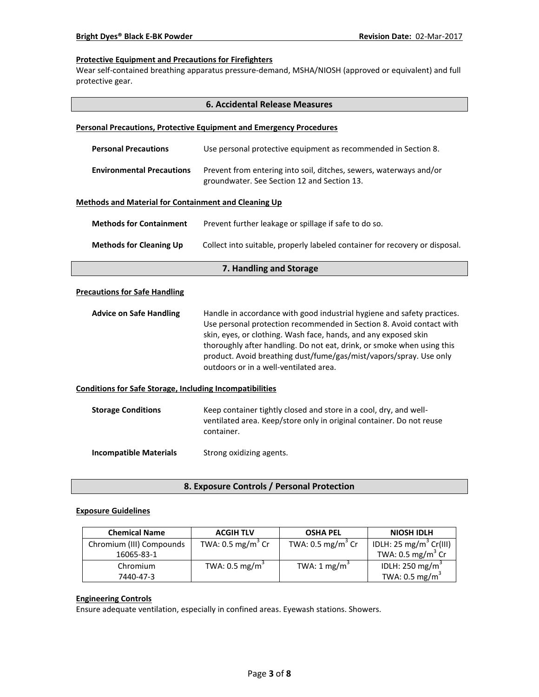### **Protective Equipment and Precautions for Firefighters**

Wear self-contained breathing apparatus pressure-demand, MSHA/NIOSH (approved or equivalent) and full protective gear.

| <b>6. Accidental Release Measures</b>                           |                                                                                                                                                                                                                                                                                                                                                                                                              |  |  |  |
|-----------------------------------------------------------------|--------------------------------------------------------------------------------------------------------------------------------------------------------------------------------------------------------------------------------------------------------------------------------------------------------------------------------------------------------------------------------------------------------------|--|--|--|
|                                                                 | <b>Personal Precautions, Protective Equipment and Emergency Procedures</b>                                                                                                                                                                                                                                                                                                                                   |  |  |  |
| <b>Personal Precautions</b>                                     | Use personal protective equipment as recommended in Section 8.                                                                                                                                                                                                                                                                                                                                               |  |  |  |
| <b>Environmental Precautions</b>                                | Prevent from entering into soil, ditches, sewers, waterways and/or<br>groundwater. See Section 12 and Section 13.                                                                                                                                                                                                                                                                                            |  |  |  |
| <b>Methods and Material for Containment and Cleaning Up</b>     |                                                                                                                                                                                                                                                                                                                                                                                                              |  |  |  |
| <b>Methods for Containment</b>                                  | Prevent further leakage or spillage if safe to do so.                                                                                                                                                                                                                                                                                                                                                        |  |  |  |
| <b>Methods for Cleaning Up</b>                                  | Collect into suitable, properly labeled container for recovery or disposal.                                                                                                                                                                                                                                                                                                                                  |  |  |  |
|                                                                 | 7. Handling and Storage                                                                                                                                                                                                                                                                                                                                                                                      |  |  |  |
| <b>Precautions for Safe Handling</b>                            |                                                                                                                                                                                                                                                                                                                                                                                                              |  |  |  |
| <b>Advice on Safe Handling</b>                                  | Handle in accordance with good industrial hygiene and safety practices.<br>Use personal protection recommended in Section 8. Avoid contact with<br>skin, eyes, or clothing. Wash face, hands, and any exposed skin<br>thoroughly after handling. Do not eat, drink, or smoke when using this<br>product. Avoid breathing dust/fume/gas/mist/vapors/spray. Use only<br>outdoors or in a well-ventilated area. |  |  |  |
| <b>Conditions for Safe Storage, Including Incompatibilities</b> |                                                                                                                                                                                                                                                                                                                                                                                                              |  |  |  |
| <b>Storage Conditions</b>                                       | Keep container tightly closed and store in a cool, dry, and well-<br>ventilated area. Keep/store only in original container. Do not reuse<br>container.                                                                                                                                                                                                                                                      |  |  |  |
| <b>Incompatible Materials</b>                                   | Strong oxidizing agents.                                                                                                                                                                                                                                                                                                                                                                                     |  |  |  |

**8. Exposure Controls / Personal Protection**

### **Exposure Guidelines**

| <b>Chemical Name</b>     | <b>ACGIH TLV</b>             | <b>OSHA PEL</b>              | <b>NIOSH IDLH</b>                  |
|--------------------------|------------------------------|------------------------------|------------------------------------|
| Chromium (III) Compounds | TWA: $0.5 \text{ mg/m}^3$ Cr | TWA: $0.5 \text{ mg/m}^3$ Cr | IDLH: 25 mg/m <sup>3</sup> Cr(III) |
| 16065-83-1               |                              |                              | TWA: 0.5 mg/m <sup>3</sup> Cr      |
| Chromium                 | TWA: 0.5 mg/m <sup>3</sup>   | TWA: 1 mg/m <sup>3</sup>     | IDLH: 250 mg/m <sup>3</sup>        |
| 7440-47-3                |                              |                              | TWA: $0.5 \text{ mg/m}^3$          |

# **Engineering Controls**

Ensure adequate ventilation, especially in confined areas. Eyewash stations. Showers.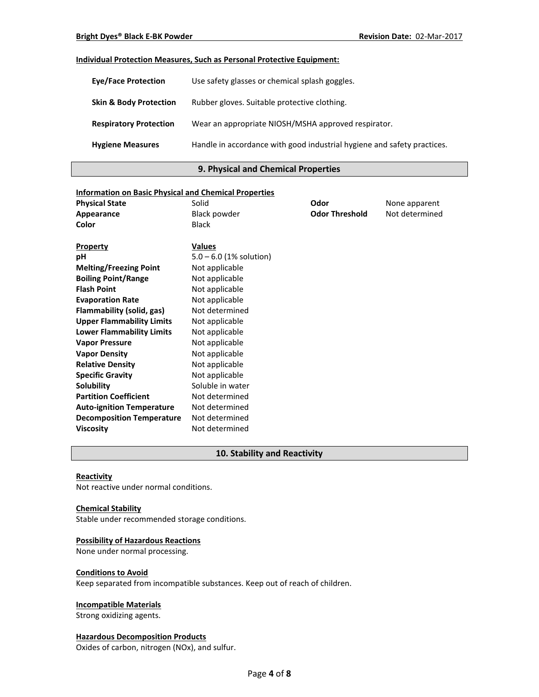### **Individual Protection Measures, Such as Personal Protective Equipment:**

| <b>Eye/Face Protection</b>        | Use safety glasses or chemical splash goggles.                          |
|-----------------------------------|-------------------------------------------------------------------------|
| <b>Skin &amp; Body Protection</b> | Rubber gloves. Suitable protective clothing.                            |
| <b>Respiratory Protection</b>     | Wear an appropriate NIOSH/MSHA approved respirator.                     |
| <b>Hygiene Measures</b>           | Handle in accordance with good industrial hygiene and safety practices. |

### **9. Physical and Chemical Properties**

| <b>Information on Basic Physical and Chemical Properties</b> |                           |                       |                |
|--------------------------------------------------------------|---------------------------|-----------------------|----------------|
| <b>Physical State</b>                                        | Solid                     | Odor                  | None apparent  |
| Appearance                                                   | <b>Black powder</b>       | <b>Odor Threshold</b> | Not determined |
| Color                                                        | Black                     |                       |                |
|                                                              |                           |                       |                |
| <b>Property</b>                                              | <b>Values</b>             |                       |                |
| рH                                                           | $5.0 - 6.0$ (1% solution) |                       |                |
| <b>Melting/Freezing Point</b>                                | Not applicable            |                       |                |
| <b>Boiling Point/Range</b>                                   | Not applicable            |                       |                |
| <b>Flash Point</b>                                           | Not applicable            |                       |                |
| <b>Evaporation Rate</b>                                      | Not applicable            |                       |                |
| Flammability (solid, gas)                                    | Not determined            |                       |                |
| <b>Upper Flammability Limits</b>                             | Not applicable            |                       |                |
| <b>Lower Flammability Limits</b>                             | Not applicable            |                       |                |
| <b>Vapor Pressure</b>                                        | Not applicable            |                       |                |
| <b>Vapor Density</b>                                         | Not applicable            |                       |                |
| <b>Relative Density</b>                                      | Not applicable            |                       |                |
| <b>Specific Gravity</b>                                      | Not applicable            |                       |                |
| Solubility                                                   | Soluble in water          |                       |                |
| <b>Partition Coefficient</b>                                 | Not determined            |                       |                |
| <b>Auto-ignition Temperature</b>                             | Not determined            |                       |                |
| <b>Decomposition Temperature</b>                             | Not determined            |                       |                |
| <b>Viscosity</b>                                             | Not determined            |                       |                |

### **10. Stability and Reactivity**

#### **Reactivity**

Not reactive under normal conditions.

#### **Chemical Stability**

Stable under recommended storage conditions.

### **Possibility of Hazardous Reactions**

None under normal processing.

#### **Conditions to Avoid**

Keep separated from incompatible substances. Keep out of reach of children.

# **Incompatible Materials**

Strong oxidizing agents.

### **Hazardous Decomposition Products**

Oxides of carbon, nitrogen (NOx), and sulfur.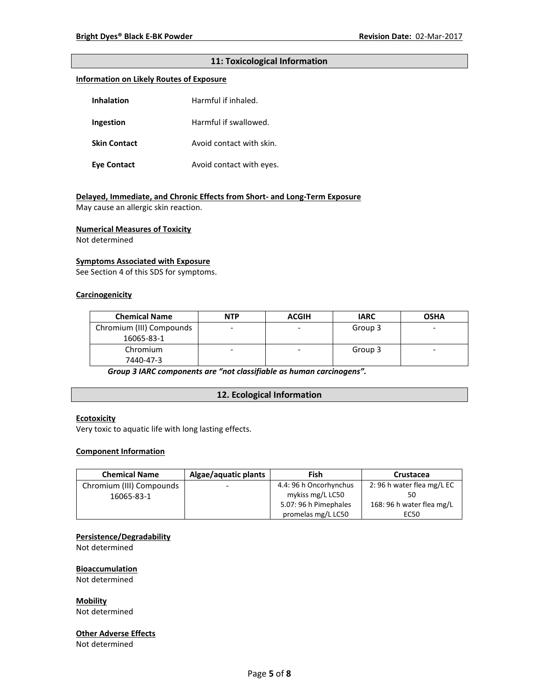### **11: Toxicological Information**

#### **Information on Likely Routes of Exposure**

| <b>Inhalation</b>   | Harmful if inhaled.      |  |
|---------------------|--------------------------|--|
| Ingestion           | Harmful if swallowed.    |  |
| <b>Skin Contact</b> | Avoid contact with skin. |  |
| <b>Eve Contact</b>  | Avoid contact with eyes. |  |

#### **Delayed, Immediate, and Chronic Effects from Short- and Long-Term Exposure**

May cause an allergic skin reaction.

#### **Numerical Measures of Toxicity**

Not determined

### **Symptoms Associated with Exposure**

See Section 4 of this SDS for symptoms.

#### **Carcinogenicity**

| <b>Chemical Name</b>     | <b>NTP</b>               | <b>ACGIH</b> | <b>IARC</b> | <b>OSHA</b>              |
|--------------------------|--------------------------|--------------|-------------|--------------------------|
| Chromium (III) Compounds | $\overline{\phantom{0}}$ | -            | Group 3     | $\overline{\phantom{0}}$ |
| 16065-83-1               |                          |              |             |                          |
| Chromium                 | -                        | -            | Group 3     | $\overline{\phantom{0}}$ |
| 7440-47-3                |                          |              |             |                          |

*Group 3 IARC components are "not classifiable as human carcinogens".*

### **12. Ecological Information**

#### **Ecotoxicity**

Very toxic to aquatic life with long lasting effects.

### **Component Information**

| <b>Chemical Name</b>     | Algae/aquatic plants | Fish                   | Crustacea                 |
|--------------------------|----------------------|------------------------|---------------------------|
| Chromium (III) Compounds |                      | 4.4: 96 h Oncorhynchus | 2:96 h water flea mg/L EC |
| 16065-83-1               |                      | mykiss mg/L LC50       |                           |
|                          |                      | 5.07: 96 h Pimephales  | 168: 96 h water flea mg/L |
|                          |                      | promelas mg/L LC50     | EC50                      |

#### **Persistence/Degradability**

Not determined

#### **Bioaccumulation**

Not determined

#### **Mobility**

Not determined

#### **Other Adverse Effects**

Not determined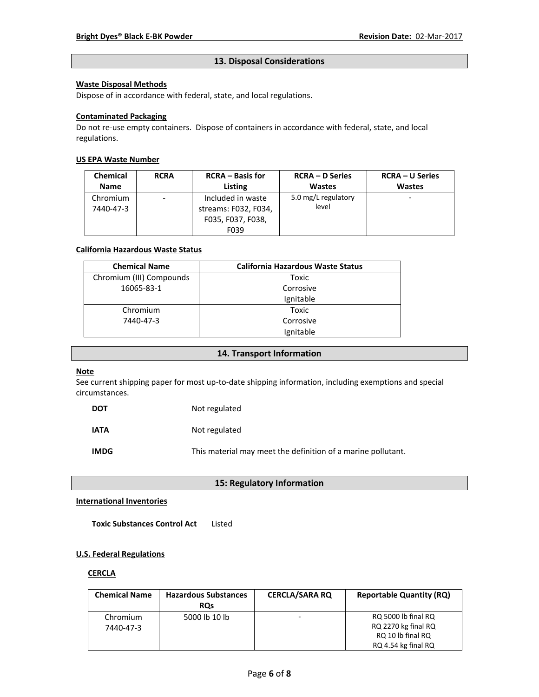### **13. Disposal Considerations**

### **Waste Disposal Methods**

Dispose of in accordance with federal, state, and local regulations.

### **Contaminated Packaging**

Do not re-use empty containers.Dispose of containers in accordance with federal, state, and local regulations.

### **US EPA Waste Number**

| <b>Chemical</b> | <b>RCRA</b>              | <b>RCRA</b> – Basis for | <b>RCRA – D Series</b> | <b>RCRA – U Series</b> |
|-----------------|--------------------------|-------------------------|------------------------|------------------------|
| <b>Name</b>     |                          | Listing                 | <b>Wastes</b>          | <b>Wastes</b>          |
| Chromium        | $\overline{\phantom{a}}$ | Included in waste       | 5.0 mg/L regulatory    |                        |
| 7440-47-3       |                          | streams: F032, F034,    | level                  |                        |
|                 |                          | F035, F037, F038,       |                        |                        |
|                 |                          | F039                    |                        |                        |

### **California Hazardous Waste Status**

| <b>Chemical Name</b>     | <b>California Hazardous Waste Status</b> |
|--------------------------|------------------------------------------|
| Chromium (III) Compounds | Toxic                                    |
| 16065-83-1               | Corrosive                                |
|                          | Ignitable                                |
| Chromium                 | Toxic                                    |
| 7440-47-3                | Corrosive                                |
|                          | Ignitable                                |

#### **14. Transport Information**

#### **Note**

See current shipping paper for most up-to-date shipping information, including exemptions and special circumstances.

| <b>DOT</b>  | Not regulated                                                |
|-------------|--------------------------------------------------------------|
| <b>IATA</b> | Not regulated                                                |
| <b>IMDG</b> | This material may meet the definition of a marine pollutant. |

### **15: Regulatory Information**

#### **International Inventories**

**Toxic Substances Control Act** Listed

### **U.S. Federal Regulations**

#### **CERCLA**

| <b>Chemical Name</b> | <b>Hazardous Substances</b><br><b>ROs</b> | <b>CERCLA/SARA RQ</b> | <b>Reportable Quantity (RQ)</b> |
|----------------------|-------------------------------------------|-----------------------|---------------------------------|
| Chromium             | 5000 lb 10 lb                             | -                     | RQ 5000 lb final RQ             |
| 7440-47-3            |                                           |                       | RQ 2270 kg final RQ             |
|                      |                                           |                       | RQ 10 lb final RQ               |
|                      |                                           |                       | RQ 4.54 kg final RQ             |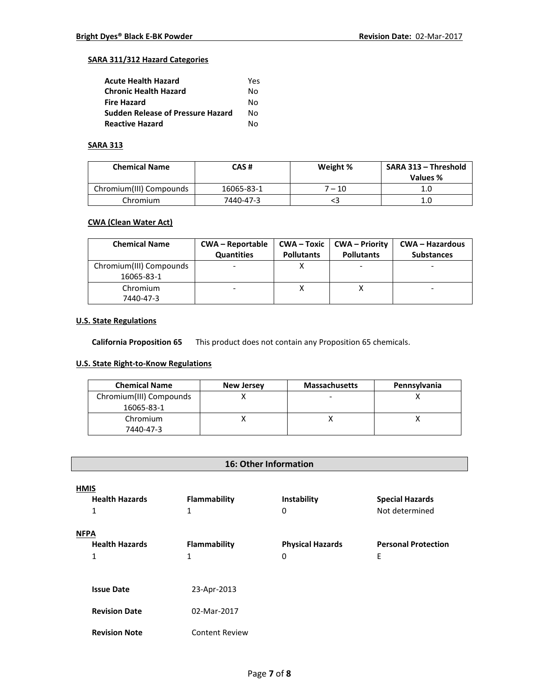### **SARA 311/312 Hazard Categories**

| <b>Acute Health Hazard</b>               | Yes |
|------------------------------------------|-----|
| <b>Chronic Health Hazard</b>             | N٥  |
| <b>Fire Hazard</b>                       | N٥  |
| <b>Sudden Release of Pressure Hazard</b> | N٥  |
| <b>Reactive Hazard</b>                   | N٥  |

# **SARA 313**

| <b>Chemical Name</b>    | CAS #      | Weight % | SARA 313 - Threshold<br>Values % |
|-------------------------|------------|----------|----------------------------------|
| Chromium(III) Compounds | 16065-83-1 | 7 – 10   | 1.0                              |
| Chromium                | 7440-47-3  |          | 1.0                              |

### **CWA (Clean Water Act)**

| <b>Chemical Name</b>                  | <b>CWA – Reportable</b><br><b>Quantities</b> | <b>Pollutants</b> | $CWA - Toxic \mid CWA - Priority$<br><b>Pollutants</b> | <b>CWA - Hazardous</b><br><b>Substances</b> |
|---------------------------------------|----------------------------------------------|-------------------|--------------------------------------------------------|---------------------------------------------|
| Chromium(III) Compounds<br>16065-83-1 |                                              |                   |                                                        |                                             |
| Chromium<br>7440-47-3                 |                                              |                   |                                                        |                                             |

### **U.S. State Regulations**

**California Proposition 65** This product does not contain any Proposition 65 chemicals.

# **U.S. State Right-to-Know Regulations**

| <b>Chemical Name</b>                  | <b>New Jersey</b> | <b>Massachusetts</b> | Pennsylvania |
|---------------------------------------|-------------------|----------------------|--------------|
| Chromium(III) Compounds<br>16065-83-1 |                   |                      |              |
| Chromium                              |                   |                      |              |
| 7440-47-3                             |                   |                      |              |

# **16: Other Information**

| <b>HMIS</b><br><b>Health Hazards</b><br>1 | <b>Flammability</b><br>1 | Instability<br>0             | <b>Special Hazards</b><br>Not determined |
|-------------------------------------------|--------------------------|------------------------------|------------------------------------------|
| <b>NFPA</b><br><b>Health Hazards</b><br>1 | Flammability<br>1        | <b>Physical Hazards</b><br>0 | <b>Personal Protection</b><br>E          |
| <b>Issue Date</b>                         | 23-Apr-2013              |                              |                                          |
| <b>Revision Date</b>                      | 02-Mar-2017              |                              |                                          |
| <b>Revision Note</b>                      | <b>Content Review</b>    |                              |                                          |